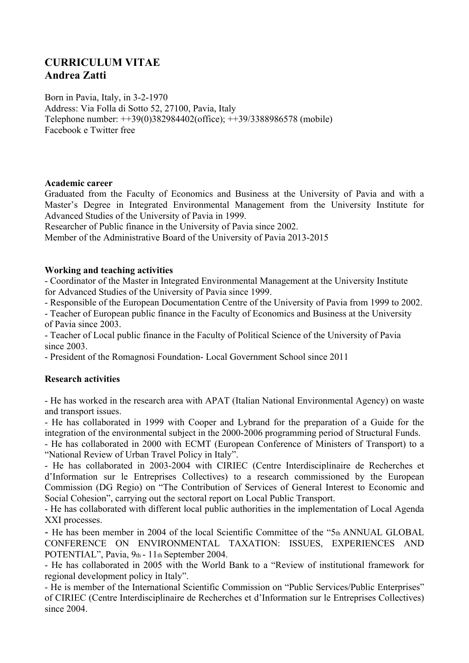# **CURRICULUM VITAE Andrea Zatti**

Born in Pavia, Italy, in 3-2-1970 Address: Via Folla di Sotto 52, 27100, Pavia, Italy Telephone number: ++39(0)382984402(office); ++39/3388986578 (mobile) Facebook e Twitter free

#### **Academic career**

Graduated from the Faculty of Economics and Business at the University of Pavia and with a Master's Degree in Integrated Environmental Management from the University Institute for Advanced Studies of the University of Pavia in 1999.

Researcher of Public finance in the University of Pavia since 2002.

Member of the Administrative Board of the University of Pavia 2013-2015

### **Working and teaching activities**

- Coordinator of the Master in Integrated Environmental Management at the University Institute for Advanced Studies of the University of Pavia since 1999.

- Responsible of the European Documentation Centre of the University of Pavia from 1999 to 2002.

- Teacher of European public finance in the Faculty of Economics and Business at the University of Pavia since 2003.

- Teacher of Local public finance in the Faculty of Political Science of the University of Pavia since 2003.

- President of the Romagnosi Foundation- Local Government School since 2011

# **Research activities**

- He has worked in the research area with APAT (Italian National Environmental Agency) on waste and transport issues.

- He has collaborated in 1999 with Cooper and Lybrand for the preparation of a Guide for the integration of the environmental subject in the 2000-2006 programming period of Structural Funds.

- He has collaborated in 2000 with ECMT (European Conference of Ministers of Transport) to a "National Review of Urban Travel Policy in Italy".

- He has collaborated in 2003-2004 with CIRIEC (Centre Interdisciplinaire de Recherches et d'Information sur le Entreprises Collectives) to a research commissioned by the European Commission (DG Regio) on "The Contribution of Services of General Interest to Economic and Social Cohesion", carrying out the sectoral report on Local Public Transport.

- He has collaborated with different local public authorities in the implementation of Local Agenda XXI processes.

- He has been member in 2004 of the local Scientific Committee of the "5th ANNUAL GLOBAL CONFERENCE ON ENVIRONMENTAL TAXATION: ISSUES, EXPERIENCES AND POTENTIAL", Pavia, 9th - 11th September 2004.

- He has collaborated in 2005 with the World Bank to a "Review of institutional framework for regional development policy in Italy".

- He is member of the International Scientific Commission on "Public Services/Public Enterprises" of CIRIEC (Centre Interdisciplinaire de Recherches et d'Information sur le Entreprises Collectives) since 2004.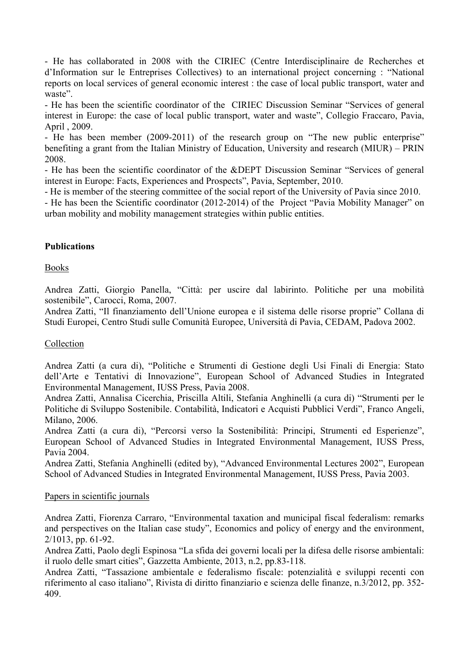- He has collaborated in 2008 with the CIRIEC (Centre Interdisciplinaire de Recherches et d'Information sur le Entreprises Collectives) to an international project concerning : "National reports on local services of general economic interest : the case of local public transport, water and waste".

- He has been the scientific coordinator of the CIRIEC Discussion Seminar "Services of general interest in Europe: the case of local public transport, water and waste", Collegio Fraccaro, Pavia, April , 2009.

- He has been member (2009-2011) of the research group on "The new public enterprise" benefiting a grant from the Italian Ministry of Education, University and research (MIUR) – PRIN 2008.

- He has been the scientific coordinator of the &DEPT Discussion Seminar "Services of general interest in Europe: Facts, Experiences and Prospects", Pavia, September, 2010.

- He is member of the steering committee of the social report of the University of Pavia since 2010.

- He has been the Scientific coordinator (2012-2014) of the Project "Pavia Mobility Manager" on urban mobility and mobility management strategies within public entities.

# **Publications**

**Books** 

Andrea Zatti, Giorgio Panella, "Città: per uscire dal labirinto. Politiche per una mobilità sostenibile", Carocci, Roma, 2007.

Andrea Zatti, "Il finanziamento dell'Unione europea e il sistema delle risorse proprie" Collana di Studi Europei, Centro Studi sulle Comunità Europee, Università di Pavia, CEDAM, Padova 2002.

# Collection

Andrea Zatti (a cura di), "Politiche e Strumenti di Gestione degli Usi Finali di Energia: Stato dell'Arte e Tentativi di Innovazione", European School of Advanced Studies in Integrated Environmental Management, IUSS Press, Pavia 2008.

Andrea Zatti, Annalisa Cicerchia, Priscilla Altili, Stefania Anghinelli (a cura di) "Strumenti per le Politiche di Sviluppo Sostenibile. Contabilità, Indicatori e Acquisti Pubblici Verdi", Franco Angeli, Milano, 2006.

Andrea Zatti (a cura di), "Percorsi verso la Sostenibilità: Principi, Strumenti ed Esperienze", European School of Advanced Studies in Integrated Environmental Management, IUSS Press, Pavia 2004.

Andrea Zatti, Stefania Anghinelli (edited by), "Advanced Environmental Lectures 2002", European School of Advanced Studies in Integrated Environmental Management, IUSS Press, Pavia 2003.

# Papers in scientific journals

Andrea Zatti, Fiorenza Carraro, "Environmental taxation and municipal fiscal federalism: remarks and perspectives on the Italian case study", Economics and policy of energy and the environment, 2/1013, pp. 61-92.

Andrea Zatti, Paolo degli Espinosa "La sfida dei governi locali per la difesa delle risorse ambientali: il ruolo delle smart cities", Gazzetta Ambiente, 2013, n.2, pp.83-118.

Andrea Zatti, "Tassazione ambientale e federalismo fiscale: potenzialità e sviluppi recenti con riferimento al caso italiano", Rivista di diritto finanziario e scienza delle finanze, n.3/2012, pp. 352- 409.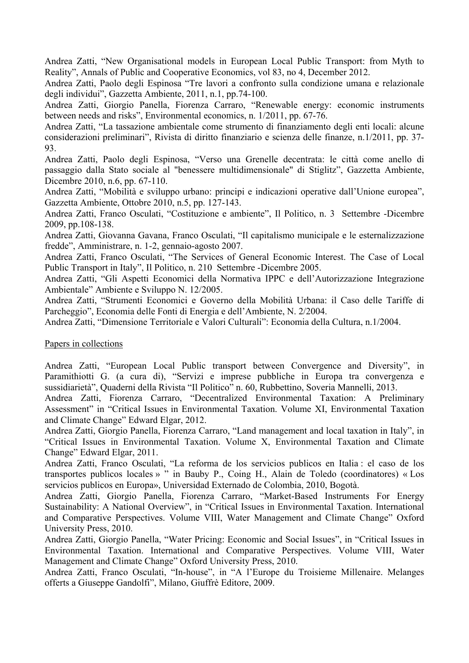Andrea Zatti, "New Organisational models in European Local Public Transport: from Myth to Reality", Annals of Public and Cooperative Economics, vol 83, no 4, December 2012.

Andrea Zatti, Paolo degli Espinosa "Tre lavori a confronto sulla condizione umana e relazionale degli individui", Gazzetta Ambiente, 2011, n.1, pp.74-100.

Andrea Zatti, Giorgio Panella, Fiorenza Carraro, "Renewable energy: economic instruments between needs and risks", Environmental economics, n. 1/2011, pp. 67-76.

Andrea Zatti, "La tassazione ambientale come strumento di finanziamento degli enti locali: alcune considerazioni preliminari", Rivista di diritto finanziario e scienza delle finanze, n.1/2011, pp. 37- 93.

Andrea Zatti, Paolo degli Espinosa, "Verso una Grenelle decentrata: le città come anello di passaggio dalla Stato sociale al "benessere multidimensionale" di Stiglitz", Gazzetta Ambiente, Dicembre 2010, n.6, pp. 67-110.

Andrea Zatti, "Mobilità e sviluppo urbano: principi e indicazioni operative dall'Unione europea", Gazzetta Ambiente, Ottobre 2010, n.5, pp. 127-143.

Andrea Zatti, Franco Osculati, "Costituzione e ambiente", Il Politico, n. 3 Settembre -Dicembre 2009, pp.108-138.

Andrea Zatti, Giovanna Gavana, Franco Osculati, "Il capitalismo municipale e le esternalizzazione fredde", Amministrare, n. 1-2, gennaio-agosto 2007.

Andrea Zatti, Franco Osculati, "The Services of General Economic Interest. The Case of Local Public Transport in Italy", Il Politico, n. 210 Settembre -Dicembre 2005.

Andrea Zatti, "Gli Aspetti Economici della Normativa IPPC e dell'Autorizzazione Integrazione Ambientale" Ambiente e Sviluppo N. 12/2005.

Andrea Zatti, "Strumenti Economici e Governo della Mobilità Urbana: il Caso delle Tariffe di Parcheggio", Economia delle Fonti di Energia e dell'Ambiente, N. 2/2004.

Andrea Zatti, "Dimensione Territoriale e Valori Culturali": Economia della Cultura, n.1/2004.

Papers in collections

Andrea Zatti, "European Local Public transport between Convergence and Diversity", in Paramithiotti G. (a cura di), "Servizi e imprese pubbliche in Europa tra convergenza e sussidiarietà", Quaderni della Rivista "Il Politico" n. 60, Rubbettino, Soveria Mannelli, 2013.

Andrea Zatti, Fiorenza Carraro, "Decentralized Environmental Taxation: A Preliminary Assessment" in "Critical Issues in Environmental Taxation. Volume XI, Environmental Taxation and Climate Change" Edward Elgar, 2012.

Andrea Zatti, Giorgio Panella, Fiorenza Carraro, "Land management and local taxation in Italy", in "Critical Issues in Environmental Taxation. Volume X, Environmental Taxation and Climate Change" Edward Elgar, 2011.

Andrea Zatti, Franco Osculati, "La reforma de los servicios publicos en Italia : el caso de los transportes publicos locales » " in Bauby P., Coing H., Alain de Toledo (coordinatores) « Los servicios publicos en Europa», Universidad Externado de Colombia, 2010, Bogotà.

Andrea Zatti, Giorgio Panella, Fiorenza Carraro, "Market-Based Instruments For Energy Sustainability: A National Overview", in "Critical Issues in Environmental Taxation. International and Comparative Perspectives. Volume VIII, Water Management and Climate Change" Oxford University Press, 2010.

Andrea Zatti, Giorgio Panella, "Water Pricing: Economic and Social Issues", in "Critical Issues in Environmental Taxation. International and Comparative Perspectives. Volume VIII, Water Management and Climate Change" Oxford University Press, 2010.

Andrea Zatti, Franco Osculati, "In-house", in "A l'Europe du Troisieme Millenaire. Melanges offerts a Giuseppe Gandolfi", Milano, Giuffrè Editore, 2009.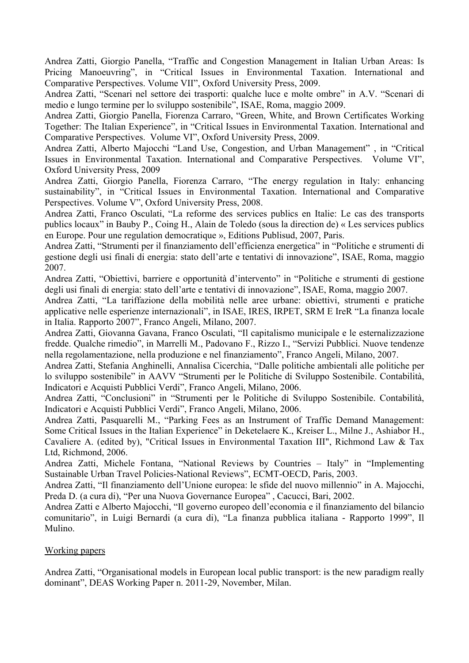Andrea Zatti, Giorgio Panella, "Traffic and Congestion Management in Italian Urban Areas: Is Pricing Manoeuvring", in "Critical Issues in Environmental Taxation. International and Comparative Perspectives. Volume VII", Oxford University Press, 2009.

Andrea Zatti, "Scenari nel settore dei trasporti: qualche luce e molte ombre" in A.V. "Scenari di medio e lungo termine per lo sviluppo sostenibile", ISAE, Roma, maggio 2009.

Andrea Zatti, Giorgio Panella, Fiorenza Carraro, "Green, White, and Brown Certificates Working Together: The Italian Experience", in "Critical Issues in Environmental Taxation. International and Comparative Perspectives. Volume VI", Oxford University Press, 2009.

Andrea Zatti, Alberto Majocchi "Land Use, Congestion, and Urban Management" , in "Critical Issues in Environmental Taxation. International and Comparative Perspectives. Volume VI", Oxford University Press, 2009

Andrea Zatti, Giorgio Panella, Fiorenza Carraro, "The energy regulation in Italy: enhancing sustainability", in "Critical Issues in Environmental Taxation. International and Comparative Perspectives. Volume V", Oxford University Press, 2008.

Andrea Zatti, Franco Osculati, "La reforme des services publics en Italie: Le cas des transports publics locaux" in Bauby P., Coing H., Alain de Toledo (sous la direction de) « Les services publics en Europe. Pour une regulation democratique », Editions Publisud, 2007, Paris.

Andrea Zatti, "Strumenti per il finanziamento dell'efficienza energetica" in "Politiche e strumenti di gestione degli usi finali di energia: stato dell'arte e tentativi di innovazione", ISAE, Roma, maggio 2007.

Andrea Zatti, "Obiettivi, barriere e opportunità d'intervento" in "Politiche e strumenti di gestione degli usi finali di energia: stato dell'arte e tentativi di innovazione", ISAE, Roma, maggio 2007.

Andrea Zatti, "La tariffazione della mobilità nelle aree urbane: obiettivi, strumenti e pratiche applicative nelle esperienze internazionali", in ISAE, IRES, IRPET, SRM E IreR "La finanza locale in Italia. Rapporto 2007", Franco Angeli, Milano, 2007.

Andrea Zatti, Giovanna Gavana, Franco Osculati, "Il capitalismo municipale e le esternalizzazione fredde. Qualche rimedio", in Marrelli M., Padovano F., Rizzo I., "Servizi Pubblici. Nuove tendenze nella regolamentazione, nella produzione e nel finanziamento", Franco Angeli, Milano, 2007.

Andrea Zatti, Stefania Anghinelli, Annalisa Cicerchia, "Dalle politiche ambientali alle politiche per lo sviluppo sostenibile" in AAVV "Strumenti per le Politiche di Sviluppo Sostenibile. Contabilità, Indicatori e Acquisti Pubblici Verdi", Franco Angeli, Milano, 2006.

Andrea Zatti, "Conclusioni" in "Strumenti per le Politiche di Sviluppo Sostenibile. Contabilità, Indicatori e Acquisti Pubblici Verdi", Franco Angeli, Milano, 2006.

Andrea Zatti, Pasquarelli M., "Parking Fees as an Instrument of Traffic Demand Management: Some Critical Issues in the Italian Experience" in Deketelaere K., Kreiser L., Milne J., Ashiabor H., Cavaliere A. (edited by), "Critical Issues in Environmental Taxation III", Richmond Law & Tax Ltd, Richmond, 2006.

Andrea Zatti, Michele Fontana, "National Reviews by Countries – Italy" in "Implementing Sustainable Urban Travel Policies-National Reviews", ECMT-OECD, Paris, 2003.

Andrea Zatti, "Il finanziamento dell'Unione europea: le sfide del nuovo millennio" in A. Majocchi, Preda D. (a cura di), "Per una Nuova Governance Europea" , Cacucci, Bari, 2002.

Andrea Zatti e Alberto Majocchi, "Il governo europeo dell'economia e il finanziamento del bilancio comunitario", in Luigi Bernardi (a cura di), "La finanza pubblica italiana - Rapporto 1999", Il Mulino.

# Working papers

Andrea Zatti, "Organisational models in European local public transport: is the new paradigm really dominant", DEAS Working Paper n. 2011-29, November, Milan.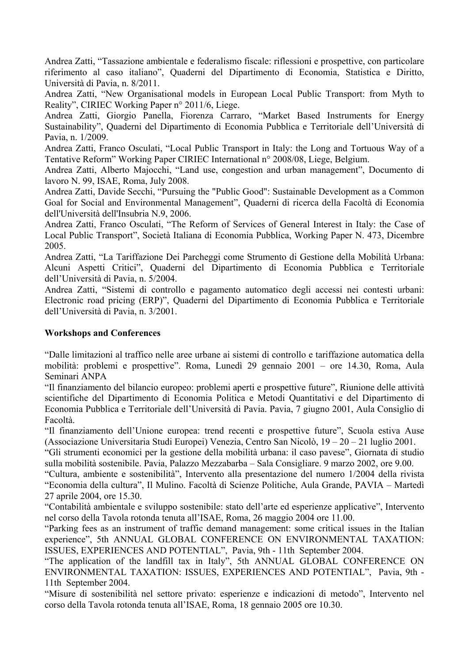Andrea Zatti, "Tassazione ambientale e federalismo fiscale: riflessioni e prospettive, con particolare riferimento al caso italiano", Quaderni del Dipartimento di Economia, Statistica e Diritto, Università di Pavia, n. 8/2011.

Andrea Zatti, "New Organisational models in European Local Public Transport: from Myth to Reality", CIRIEC Working Paper n° 2011/6, Liege.

Andrea Zatti, Giorgio Panella, Fiorenza Carraro, "Market Based Instruments for Energy Sustainability", Quaderni del Dipartimento di Economia Pubblica e Territoriale dell'Università di Pavia, n. 1/2009.

Andrea Zatti, Franco Osculati, "Local Public Transport in Italy: the Long and Tortuous Way of a Tentative Reform" Working Paper CIRIEC International n° 2008/08, Liege, Belgium.

Andrea Zatti, Alberto Majocchi, "Land use, congestion and urban management", Documento di lavoro N. 99, ISAE, Roma, July 2008.

Andrea Zatti, Davide Secchi, "Pursuing the "Public Good": Sustainable Development as a Common Goal for Social and Environmental Management", Quaderni di ricerca della Facoltà di Economia dell'Università dell'Insubria N.9, 2006.

Andrea Zatti, Franco Osculati, "The Reform of Services of General Interest in Italy: the Case of Local Public Transport", Società Italiana di Economia Pubblica, Working Paper N. 473, Dicembre 2005.

Andrea Zatti, "La Tariffazione Dei Parcheggi come Strumento di Gestione della Mobilità Urbana: Alcuni Aspetti Critici", Quaderni del Dipartimento di Economia Pubblica e Territoriale dell'Università di Pavia, n. 5/2004.

Andrea Zatti, "Sistemi di controllo e pagamento automatico degli accessi nei contesti urbani: Electronic road pricing (ERP)", Quaderni del Dipartimento di Economia Pubblica e Territoriale dell'Università di Pavia, n. 3/2001.

### **Workshops and Conferences**

"Dalle limitazioni al traffico nelle aree urbane ai sistemi di controllo e tariffazione automatica della mobilità: problemi e prospettive". Roma, Lunedì 29 gennaio 2001 – ore 14.30, Roma, Aula Seminari ANPA

"Il finanziamento del bilancio europeo: problemi aperti e prospettive future", Riunione delle attività scientifiche del Dipartimento di Economia Politica e Metodi Quantitativi e del Dipartimento di Economia Pubblica e Territoriale dell'Università di Pavia. Pavia, 7 giugno 2001, Aula Consiglio di Facoltà.

"Il finanziamento dell'Unione europea: trend recenti e prospettive future", Scuola estiva Ause (Associazione Universitaria Studi Europei) Venezia, Centro San Nicolò, 19 – 20 – 21 luglio 2001.

"Gli strumenti economici per la gestione della mobilità urbana: il caso pavese", Giornata di studio sulla mobilità sostenibile. Pavia, Palazzo Mezzabarba – Sala Consigliare. 9 marzo 2002, ore 9.00.

"Cultura, ambiente e sostenibilità", Intervento alla presentazione del numero 1/2004 della rivista "Economia della cultura", Il Mulino. Facoltà di Scienze Politiche, Aula Grande, PAVIA – Martedì 27 aprile 2004, ore 15.30.

"Contabilità ambientale e sviluppo sostenibile: stato dell'arte ed esperienze applicative", Intervento nel corso della Tavola rotonda tenuta all'ISAE, Roma, 26 maggio 2004 ore 11.00.

"Parking fees as an instrument of traffic demand management: some critical issues in the Italian experience", 5th ANNUAL GLOBAL CONFERENCE ON ENVIRONMENTAL TAXATION: ISSUES, EXPERIENCES AND POTENTIAL", Pavia, 9th - 11th September 2004.

"The application of the landfill tax in Italy", 5th ANNUAL GLOBAL CONFERENCE ON ENVIRONMENTAL TAXATION: ISSUES, EXPERIENCES AND POTENTIAL", Pavia, 9th - 11th September 2004.

"Misure di sostenibilità nel settore privato: esperienze e indicazioni di metodo", Intervento nel corso della Tavola rotonda tenuta all'ISAE, Roma, 18 gennaio 2005 ore 10.30.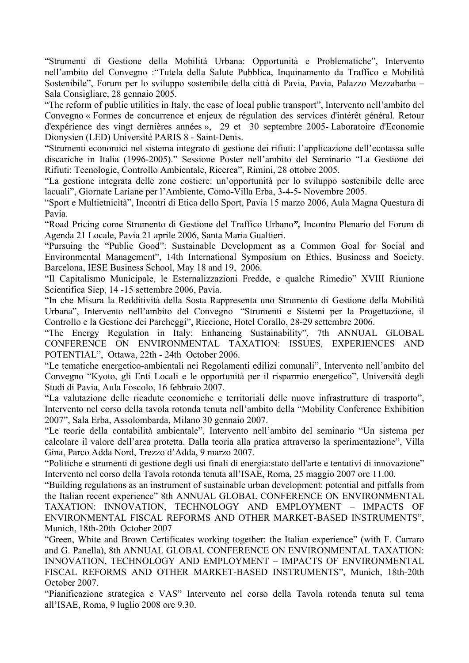"Strumenti di Gestione della Mobilità Urbana: Opportunità e Problematiche", Intervento nell'ambito del Convegno :"Tutela della Salute Pubblica, Inquinamento da Traffico e Mobilità Sostenibile", Forum per lo sviluppo sostenibile della città di Pavia, Pavia, Palazzo Mezzabarba – Sala Consigliare, 28 gennaio 2005.

"The reform of public utilities in Italy, the case of local public transport", Intervento nell'ambito del Convegno « Formes de concurrence et enjeux de régulation des services d'intérêt général. Retour d'expérience des vingt dernières années », 29 et 30 septembre 2005- Laboratoire d'Economie Dionysien (LED) Université PARIS 8 - Saint-Denis.

"Strumenti economici nel sistema integrato di gestione dei rifiuti: l'applicazione dell'ecotassa sulle discariche in Italia (1996-2005)." Sessione Poster nell'ambito del Seminario "La Gestione dei Rifiuti: Tecnologie, Controllo Ambientale, Ricerca", Rimini, 28 ottobre 2005.

"La gestione integrata delle zone costiere: un'opportunità per lo sviluppo sostenibile delle aree lacuali", Giornate Lariane per l'Ambiente, Como-Villa Erba, 3-4-5- Novembre 2005.

"Sport e Multietnicità", Incontri di Etica dello Sport, Pavia 15 marzo 2006, Aula Magna Questura di Pavia.

"Road Pricing come Strumento di Gestione del Traffico Urbano*",* Incontro Plenario del Forum di Agenda 21 Locale, Pavia 21 aprile 2006, Santa Maria Gualtieri.

"Pursuing the "Public Good": Sustainable Development as a Common Goal for Social and Environmental Management", 14th International Symposium on Ethics, Business and Society. Barcelona, IESE Business School, May 18 and 19, 2006.

"Il Capitalismo Municipale, le Esternalizzazioni Fredde, e qualche Rimedio" XVIII Riunione Scientifica Siep, 14 -15 settembre 2006, Pavia.

"In che Misura la Redditività della Sosta Rappresenta uno Strumento di Gestione della Mobilità Urbana", Intervento nell'ambito del Convegno "Strumenti e Sistemi per la Progettazione, il Controllo e la Gestione dei Parcheggi", Riccione, Hotel Corallo, 28-29 settembre 2006.

"The Energy Regulation in Italy: Enhancing Sustainability", 7th ANNUAL GLOBAL CONFERENCE ON ENVIRONMENTAL TAXATION: ISSUES, EXPERIENCES AND POTENTIAL", Ottawa, 22th - 24th October 2006.

"Le tematiche energetico-ambientali nei Regolamenti edilizi comunali", Intervento nell'ambito del Convegno "Kyoto, gli Enti Locali e le opportunità per il risparmio energetico", Università degli Studi di Pavia, Aula Foscolo, 16 febbraio 2007.

"La valutazione delle ricadute economiche e territoriali delle nuove infrastrutture di trasporto", Intervento nel corso della tavola rotonda tenuta nell'ambito della "Mobility Conference Exhibition 2007", Sala Erba, Assolombarda, Milano 30 gennaio 2007.

"Le teorie della contabilità ambientale", Intervento nell'ambito del seminario "Un sistema per calcolare il valore dell'area protetta. Dalla teoria alla pratica attraverso la sperimentazione", Villa Gina, Parco Adda Nord, Trezzo d'Adda, 9 marzo 2007.

"Politiche e strumenti di gestione degli usi finali di energia:stato dell'arte e tentativi di innovazione" Intervento nel corso della Tavola rotonda tenuta all'ISAE, Roma, 25 maggio 2007 ore 11.00.

"Building regulations as an instrument of sustainable urban development: potential and pitfalls from the Italian recent experience" 8th ANNUAL GLOBAL CONFERENCE ON ENVIRONMENTAL TAXATION: INNOVATION, TECHNOLOGY AND EMPLOYMENT – IMPACTS OF ENVIRONMENTAL FISCAL REFORMS AND OTHER MARKET-BASED INSTRUMENTS", Munich, 18th-20th October 2007

"Green, White and Brown Certificates working together: the Italian experience" (with F. Carraro and G. Panella), 8th ANNUAL GLOBAL CONFERENCE ON ENVIRONMENTAL TAXATION: INNOVATION, TECHNOLOGY AND EMPLOYMENT – IMPACTS OF ENVIRONMENTAL FISCAL REFORMS AND OTHER MARKET-BASED INSTRUMENTS", Munich, 18th-20th October 2007.

"Pianificazione strategica e VAS" Intervento nel corso della Tavola rotonda tenuta sul tema all'ISAE, Roma, 9 luglio 2008 ore 9.30.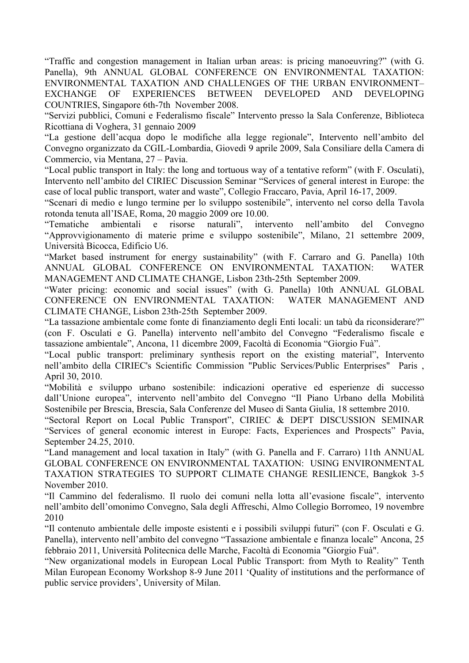"Traffic and congestion management in Italian urban areas: is pricing manoeuvring?" (with G. Panella), 9th ANNUAL GLOBAL CONFERENCE ON ENVIRONMENTAL TAXATION: ENVIRONMENTAL TAXATION AND CHALLENGES OF THE URBAN ENVIRONMENT– EXCHANGE OF EXPERIENCES BETWEEN DEVELOPED AND DEVELOPING COUNTRIES, Singapore 6th-7th November 2008.

"Servizi pubblici, Comuni e Federalismo fiscale" Intervento presso la Sala Conferenze, Biblioteca Ricottiana di Voghera, 31 gennaio 2009

"La gestione dell'acqua dopo le modifiche alla legge regionale", Intervento nell'ambito del Convegno organizzato da CGIL-Lombardia, Giovedì 9 aprile 2009, Sala Consiliare della Camera di Commercio, via Mentana, 27 – Pavia.

"Local public transport in Italy: the long and tortuous way of a tentative reform" (with F. Osculati), Intervento nell'ambito del CIRIEC Discussion Seminar "Services of general interest in Europe: the case of local public transport, water and waste", Collegio Fraccaro, Pavia, April 16-17, 2009.

"Scenari di medio e lungo termine per lo sviluppo sostenibile", intervento nel corso della Tavola rotonda tenuta all'ISAE, Roma, 20 maggio 2009 ore 10.00.

"Tematiche ambientali e risorse naturali", intervento nell'ambito del Convegno "Approvvigionamento di materie prime e sviluppo sostenibile", Milano, 21 settembre 2009, Università Bicocca, Edificio U6.

"Market based instrument for energy sustainability" (with F. Carraro and G. Panella) 10th ANNUAL GLOBAL CONFERENCE ON ENVIRONMENTAL TAXATION: WATER MANAGEMENT AND CLIMATE CHANGE, Lisbon 23th-25th September 2009.

"Water pricing: economic and social issues" (with G. Panella) 10th ANNUAL GLOBAL CONFERENCE ON ENVIRONMENTAL TAXATION: WATER MANAGEMENT AND CLIMATE CHANGE, Lisbon 23th-25th September 2009.

"La tassazione ambientale come fonte di finanziamento degli Enti locali: un tabù da riconsiderare?" (con F. Osculati e G. Panella) intervento nell'ambito del Convegno "Federalismo fiscale e tassazione ambientale", Ancona, 11 dicembre 2009, Facoltà di Economia "Giorgio Fuà".

"Local public transport: preliminary synthesis report on the existing material", Intervento nell'ambito della CIRIEC's Scientific Commission "Public Services/Public Enterprises" Paris , April 30, 2010.

"Mobilità e sviluppo urbano sostenibile: indicazioni operative ed esperienze di successo dall'Unione europea", intervento nell'ambito del Convegno "Il Piano Urbano della Mobilità Sostenibile per Brescia, Brescia, Sala Conferenze del Museo di Santa Giulia, 18 settembre 2010.

"Sectoral Report on Local Public Transport", CIRIEC & DEPT DISCUSSION SEMINAR "Services of general economic interest in Europe: Facts, Experiences and Prospects" Pavia, September 24.25, 2010.

"Land management and local taxation in Italy" (with G. Panella and F. Carraro) 11th ANNUAL GLOBAL CONFERENCE ON ENVIRONMENTAL TAXATION: USING ENVIRONMENTAL TAXATION STRATEGIES TO SUPPORT CLIMATE CHANGE RESILIENCE, Bangkok 3-5 November 2010.

"Il Cammino del federalismo. Il ruolo dei comuni nella lotta all'evasione fiscale", intervento nell'ambito dell'omonimo Convegno, Sala degli Affreschi, Almo Collegio Borromeo, 19 novembre 2010

"Il contenuto ambientale delle imposte esistenti e i possibili sviluppi futuri" (con F. Osculati e G. Panella), intervento nell'ambito del convegno "Tassazione ambientale e finanza locale" Ancona, 25 febbraio 2011, Università Politecnica delle Marche, Facoltà di Economia "Giorgio Fuà".

"New organizational models in European Local Public Transport: from Myth to Reality" Tenth Milan European Economy Workshop 8-9 June 2011 'Quality of institutions and the performance of public service providers', University of Milan.